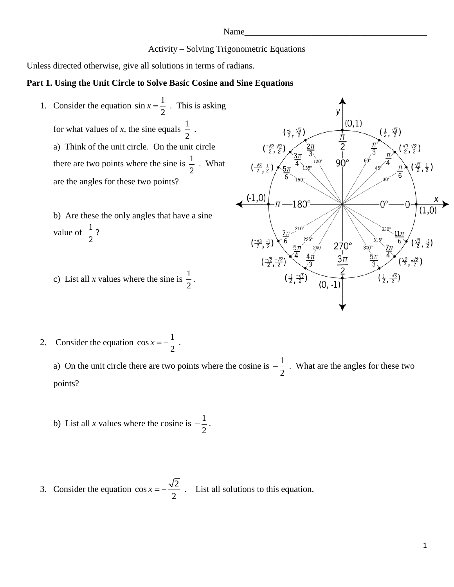Name\_\_\_\_\_\_\_\_\_\_\_\_\_\_\_\_\_\_\_\_\_\_\_\_\_\_\_\_\_\_\_\_\_\_\_\_\_\_\_\_\_

Activity – Solving Trigonometric Equations

Unless directed otherwise, give all solutions in terms of radians.

## **Part 1. Using the Unit Circle to Solve Basic Cosine and Sine Equations**

- 1. Consider the equation  $\sin x = \frac{1}{2}$  $x = \frac{1}{x}$ . This is asking 2  $(0,1)$ for what values of x, the sine equals  $\frac{1}{2}$ . 2  $rac{\pi}{2}$ a) Think of the unit circle. On the unit circle  $90^{\circ}$ there are two points where the sine is  $\frac{1}{2}$ . What 2 are the angles for these two points?  $\leftarrow$  (-1,0)  $-\pi$  -180° b) Are these the only angles that have a sine  $\left(\frac{-\sqrt{3}}{2},\frac{-1}{2}\right)$   $\left(\frac{7\pi}{6},\frac{210^6}{27}\right)$   $\left(\frac{-\sqrt{2}}{2},\frac{-\sqrt{2}}{2}\right)$   $\left(\frac{-\sqrt{2}}{2},\frac{-\sqrt{2}}{2}\right)$   $\left(\frac{4\pi}{3}\right)$ value of  $\frac{1}{2}$ ? 2  $\frac{270^{\circ}}{3\pi}$ c) List all *x* values where the sine is  $\frac{1}{2}$  $(\frac{1}{2}, \frac{-\sqrt{3}}{2})$ . 2
- 2. Consider the equation  $\cos x = -\frac{1}{2}$ 2  $x = -\frac{1}{2}$ .

a) On the unit circle there are two points where the cosine is  $-\frac{1}{2}$ 2  $-\frac{1}{2}$ . What are the angles for these two points?

- b) List all *x* values where the cosine is  $-\frac{1}{2}$ 2  $-\frac{1}{2}$ .
- 3. Consider the equation  $\cos x = -\frac{\sqrt{2}}{2}$ 2  $x = -\frac{\sqrt{2}}{2}$ . List all solutions to this equation.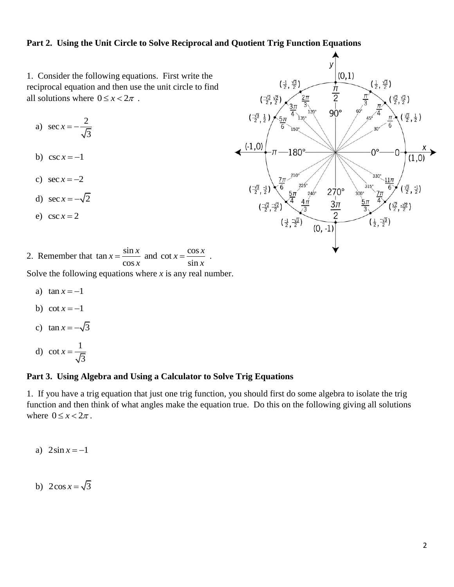## **Part 2. Using the Unit Circle to Solve Reciprocal and Quotient Trig Function Equations**

1. Consider the following equations. First write the reciprocal equation and then use the unit circle to find all solutions where  $0 \le x < 2\pi$ .

a) 
$$
\sec x = -\frac{2}{\sqrt{3}}
$$

- b)  $\csc x = -1$
- c)  $\sec x = -2$
- d)  $\sec x = -\sqrt{2}$
- e)  $\csc x = 2$



2. Remember that  $\tan x = \frac{\sin x}{\cos x}$  and  $\cot x = \frac{\cos x}{\sin x}$  $\frac{\sin x}{\cos x}$  and  $\cot x = \frac{\cos x}{\sin x}$  $x = \frac{\sin x}{\cos x}$  and  $\cot x = \frac{\cos x}{\sin x}$  $\frac{x}{x}$  and cot  $x = \frac{\cos x}{\sin x}$  $=\frac{\sin x}{\cos x}$  and  $\cot x = \frac{\cos x}{\sin x}$ .

Solve the following equations where *x* is any real number.

- a)  $\tan x = -1$
- b) cot  $x = -1$
- c)  $\tan x = -\sqrt{3}$
- d) cot  $x = \frac{1}{\sqrt{2}}$ 3 *x*

## **Part 3. Using Algebra and Using a Calculator to Solve Trig Equations**

1. If you have a trig equation that just one trig function, you should first do some algebra to isolate the trig function and then think of what angles make the equation true. Do this on the following giving all solutions where  $0 \leq x < 2\pi$ .

- a)  $2\sin x = -1$
- b)  $2\cos x = \sqrt{3}$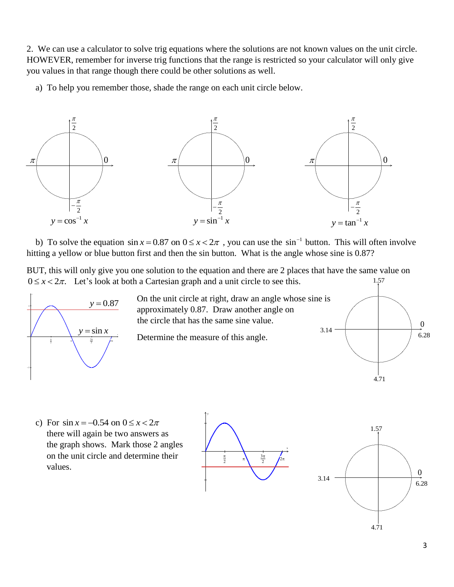2. We can use a calculator to solve trig equations where the solutions are not known values on the unit circle. HOWEVER, remember for inverse trig functions that the range is restricted so your calculator will only give you values in that range though there could be other solutions as well.

a) To help you remember those, shade the range on each unit circle below.



b) To solve the equation  $\sin x = 0.87$  on  $0 \le x < 2\pi$ , you can use the  $\sin^{-1}$  button. This will often involve hitting a yellow or blue button first and then the sin button. What is the angle whose sine is 0.87?

BUT, this will only give you one solution to the equation and there are 2 places that have the same value on  $0 \le x < 2\pi$ . Let's look at both a Cartesian graph and a unit circle to see this. 1.57



 On the unit circle at right, draw an angle whose sine is approximately 0.87. Draw another angle on the circle that has the same sine value.  $y = \sin x$  **b**  $\cos x = 1$  **c**  $\cos x = 1$  **c**  $\cos x = 1$  **c**  $\cos x = 1$  **c**  $\sin x = 1$  **c**  $\sin x = 1$  **c**  $\sin x = 1$  **c**  $\sin x = 1$  **c**  $\sin x = 1$  **c**  $\sin x = 1$  **c**  $\sin x = 1$  **c**  $\sin x = 1$  **c**  $\sin x = 1$  **c**  $\sin x = 1$  **c**  $\sin x = 1$  **c**  $\sin x = 1$  **c**

Determine the measure of this angle.







 $\begin{array}{|c|c|} \hline 3.14 & 6.28 \\ \hline & & 6.28 \\ \hline & & 4.71 \\ \hline \end{array}$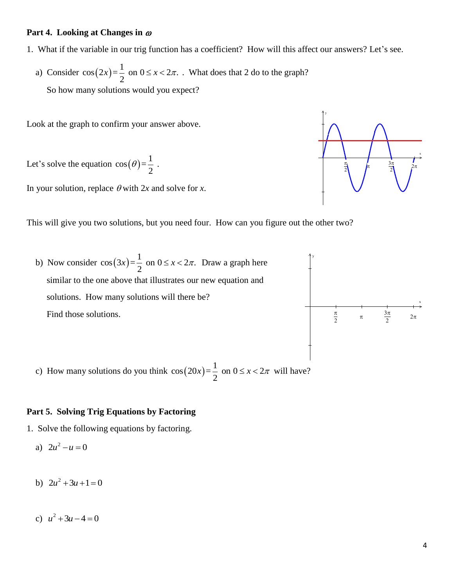# **Part 4. Looking at Changes in**

- 1. What if the variable in our trig function has a coefficient? How will this affect our answers? Let's see.
- a) Consider  $cos(2x)$  $\cos(2x) = \frac{1}{2}$  on  $0 \le x < 2\pi$ . What does that 2 do to the graph? So how many solutions would you expect?

Look at the graph to confirm your answer above.

Let's solve the equation  $cos(\theta)$  $\cos(\theta) = \frac{1}{2}$ .  $\theta$ )= $\frac{1}{2}$ 

In your solution, replace  $\theta$  with 2*x* and solve for *x*.



b) Now consider  $cos(3x)$  $\cos(3x) = \frac{1}{2}$  on  $0 \le x < 2\pi$ . Draw a graph here similar to the one above that illustrates our new equation and solutions. How many solutions will there be? Find those solutions.



y

c) How many solutions do you think 
$$
cos(20x) = \frac{1}{2}
$$
 on  $0 \le x < 2\pi$  will have?

# **Part 5. Solving Trig Equations by Factoring**

- 1. Solve the following equations by factoring.
- a)  $2u^2 u = 0$
- b)  $2u^2 + 3u + 1 = 0$
- c)  $u^2 + 3u 4 = 0$